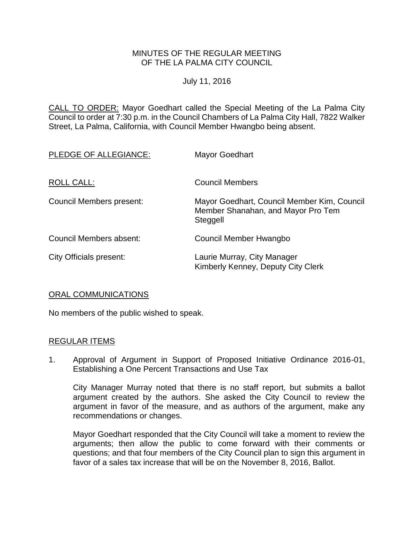## MINUTES OF THE REGULAR MEETING OF THE LA PALMA CITY COUNCIL

### July 11, 2016

CALL TO ORDER: [Mayor Goedhart called the Special Meeting of the La Palma City](http://lapalma.granicus.com/MediaPlayer.php?view_id=&clip_id=1023&meta_id=134989)  [Council to order at 7:30 p.m. in the Council Chambers of La Palma City Hall, 7822 Walker](http://lapalma.granicus.com/MediaPlayer.php?view_id=&clip_id=1023&meta_id=134989)  [Street, La Palma, California, with Council Member Hwangbo being absent.](http://lapalma.granicus.com/MediaPlayer.php?view_id=&clip_id=1023&meta_id=134989)

| PLEDGE OF ALLEGIANCE:    | <b>Mayor Goedhart</b>                                                                         |
|--------------------------|-----------------------------------------------------------------------------------------------|
| ROLL CALL:               | <b>Council Members</b>                                                                        |
| Council Members present: | Mayor Goedhart, Council Member Kim, Council<br>Member Shanahan, and Mayor Pro Tem<br>Steggell |
| Council Members absent:  | Council Member Hwangbo                                                                        |
| City Officials present:  | Laurie Murray, City Manager<br>Kimberly Kenney, Deputy City Clerk                             |

# [ORAL COMMUNICATIONS](http://lapalma.granicus.com/MediaPlayer.php?view_id=&clip_id=1023&meta_id=134992)

No members of the public wished to speak.

# REGULAR ITEMS

1. [Approval of Argument in Support of Proposed Initiative Ordinance 2016-01,](http://lapalma.granicus.com/MediaPlayer.php?view_id=&clip_id=1023&meta_id=134993)  [Establishing a One Percent Transactions and Use Tax](http://lapalma.granicus.com/MediaPlayer.php?view_id=&clip_id=1023&meta_id=134993)

City Manager Murray noted that there is no staff report, but submits a ballot argument created by the authors. She asked the City Council to review the argument in favor of the measure, and as authors of the argument, make any recommendations or changes.

Mayor Goedhart responded that the City Council will take a moment to review the arguments; then allow the public to come forward with their comments or questions; and that four members of the City Council plan to sign this argument in favor of a sales tax increase that will be on the November 8, 2016, Ballot.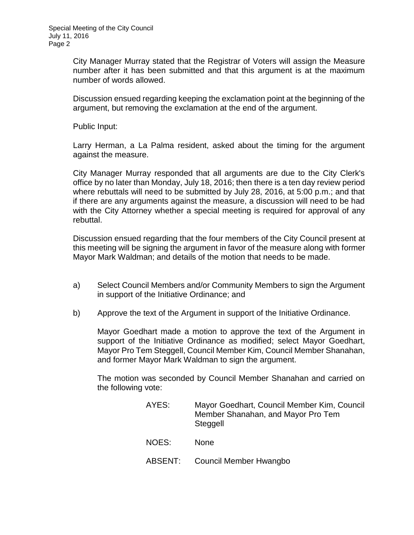City Manager Murray stated that the Registrar of Voters will assign the Measure number after it has been submitted and that this argument is at the maximum number of words allowed.

Discussion ensued regarding keeping the exclamation point at the beginning of the argument, but removing the exclamation at the end of the argument.

Public Input:

Larry Herman, a La Palma resident, asked about the timing for the argument against the measure.

City Manager Murray responded that all arguments are due to the City Clerk's office by no later than Monday, July 18, 2016; then there is a ten day review period where rebuttals will need to be submitted by July 28, 2016, at 5:00 p.m.; and that if there are any arguments against the measure, a discussion will need to be had with the City Attorney whether a special meeting is required for approval of any rebuttal.

Discussion ensued regarding that the four members of the City Council present at this meeting will be signing the argument in favor of the measure along with former Mayor Mark Waldman; and details of the motion that needs to be made.

- a) Select Council Members and/or Community Members to sign the Argument in support of the Initiative Ordinance; and
- b) Approve the text of the Argument in support of the Initiative Ordinance.

Mayor Goedhart made a motion to approve the text of the Argument in support of the Initiative Ordinance as modified; select Mayor Goedhart, Mayor Pro Tem Steggell, Council Member Kim, Council Member Shanahan, and former Mayor Mark Waldman to sign the argument.

The motion was seconded by Council Member Shanahan and carried on the following vote:

| AYES: | Mayor Goedhart, Council Member Kim, Council<br>Member Shanahan, and Mayor Pro Tem<br>Steggell |
|-------|-----------------------------------------------------------------------------------------------|
| NOES: | <b>None</b>                                                                                   |

ABSENT: Council Member Hwangbo